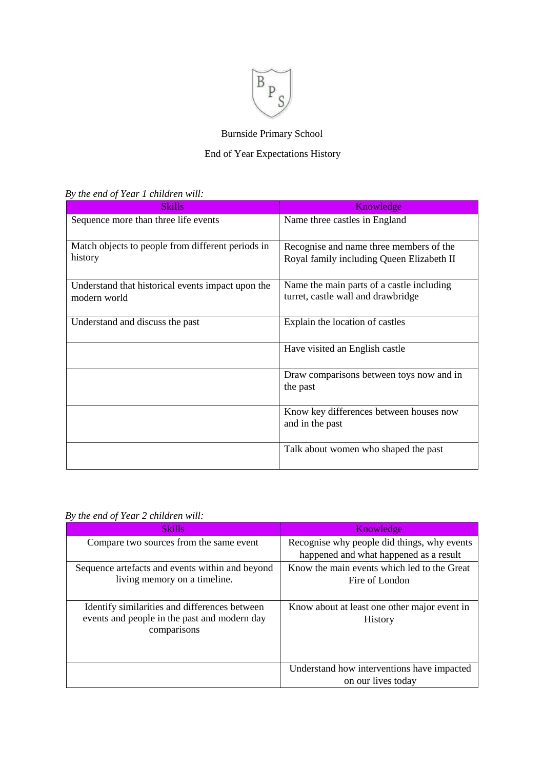

# Burnside Primary School

#### End of Year Expectations History

|  | By the end of Year 1 children will: |  |  |  |
|--|-------------------------------------|--|--|--|
|--|-------------------------------------|--|--|--|

| <b>Skills</b>                                                     | Knowledge                                                                            |
|-------------------------------------------------------------------|--------------------------------------------------------------------------------------|
| Sequence more than three life events                              | Name three castles in England                                                        |
| Match objects to people from different periods in<br>history      | Recognise and name three members of the<br>Royal family including Queen Elizabeth II |
| Understand that historical events impact upon the<br>modern world | Name the main parts of a castle including<br>turret, castle wall and drawbridge      |
| Understand and discuss the past                                   | Explain the location of castles                                                      |
|                                                                   | Have visited an English castle                                                       |
|                                                                   | Draw comparisons between toys now and in<br>the past                                 |
|                                                                   | Know key differences between houses now<br>and in the past                           |
|                                                                   | Talk about women who shaped the past                                                 |

| <b>Skills</b>                                                                                                | Knowledge                                                      |
|--------------------------------------------------------------------------------------------------------------|----------------------------------------------------------------|
| Compare two sources from the same event                                                                      | Recognise why people did things, why events                    |
|                                                                                                              | happened and what happened as a result                         |
| Sequence artefacts and events within and beyond                                                              | Know the main events which led to the Great                    |
| living memory on a timeline.                                                                                 | Fire of London                                                 |
|                                                                                                              |                                                                |
| Identify similarities and differences between<br>events and people in the past and modern day<br>comparisons | Know about at least one other major event in<br><b>History</b> |
|                                                                                                              | Understand how interventions have impacted                     |
|                                                                                                              | on our lives today                                             |

## *By the end of Year 2 children will:*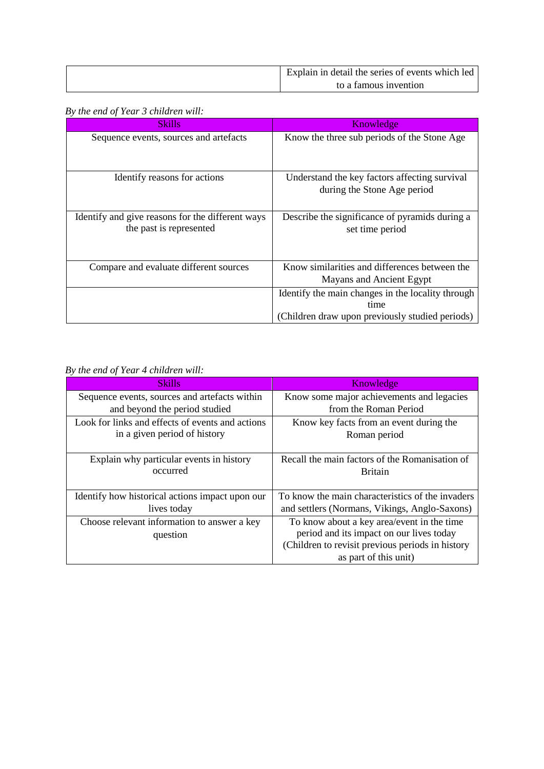| Explain in detail the series of events which led |
|--------------------------------------------------|
| to a famous invention                            |

#### *By the end of Year 3 children will:*

| Skills                                                                      | Knowledge                                                                    |
|-----------------------------------------------------------------------------|------------------------------------------------------------------------------|
| Sequence events, sources and artefacts                                      | Know the three sub periods of the Stone Age                                  |
| Identify reasons for actions                                                | Understand the key factors affecting survival<br>during the Stone Age period |
| Identify and give reasons for the different ways<br>the past is represented | Describe the significance of pyramids during a<br>set time period            |
| Compare and evaluate different sources                                      | Know similarities and differences between the<br>Mayans and Ancient Egypt    |
|                                                                             | Identify the main changes in the locality through<br>time                    |
|                                                                             | (Children draw upon previously studied periods)                              |

## *By the end of Year 4 children will:*

| <b>Skills</b>                                    | Knowledge                                        |
|--------------------------------------------------|--------------------------------------------------|
| Sequence events, sources and artefacts within    | Know some major achievements and legacies        |
| and beyond the period studied                    | from the Roman Period                            |
| Look for links and effects of events and actions | Know key facts from an event during the          |
| in a given period of history                     | Roman period                                     |
|                                                  |                                                  |
| Explain why particular events in history         | Recall the main factors of the Romanisation of   |
| occurred                                         | <b>Britain</b>                                   |
|                                                  |                                                  |
| Identify how historical actions impact upon our  | To know the main characteristics of the invaders |
| lives today                                      | and settlers (Normans, Vikings, Anglo-Saxons)    |
| Choose relevant information to answer a key      | To know about a key area/event in the time       |
| question                                         | period and its impact on our lives today         |
|                                                  | (Children to revisit previous periods in history |
|                                                  | as part of this unit)                            |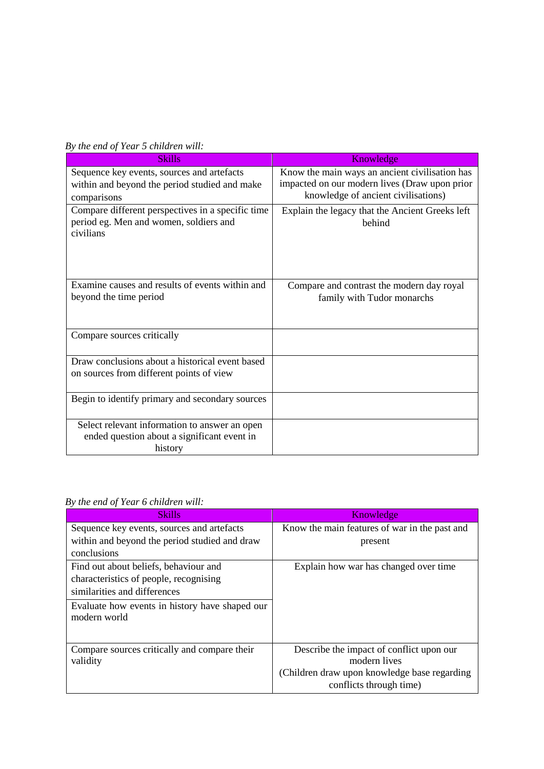| <b>Skills</b>                                                                                              | Knowledge                                                                                                                              |
|------------------------------------------------------------------------------------------------------------|----------------------------------------------------------------------------------------------------------------------------------------|
| Sequence key events, sources and artefacts<br>within and beyond the period studied and make<br>comparisons | Know the main ways an ancient civilisation has<br>impacted on our modern lives (Draw upon prior<br>knowledge of ancient civilisations) |
| Compare different perspectives in a specific time<br>period eg. Men and women, soldiers and<br>civilians   | Explain the legacy that the Ancient Greeks left<br>hehind                                                                              |
| Examine causes and results of events within and<br>beyond the time period                                  | Compare and contrast the modern day royal<br>family with Tudor monarchs                                                                |
| Compare sources critically                                                                                 |                                                                                                                                        |
| Draw conclusions about a historical event based<br>on sources from different points of view                |                                                                                                                                        |
| Begin to identify primary and secondary sources                                                            |                                                                                                                                        |
| Select relevant information to answer an open<br>ended question about a significant event in<br>history    |                                                                                                                                        |

*By the end of Year 6 children will:* 

| <b>Skills</b>                                  | Knowledge                                     |
|------------------------------------------------|-----------------------------------------------|
| Sequence key events, sources and artefacts     | Know the main features of war in the past and |
| within and beyond the period studied and draw  | present                                       |
| conclusions                                    |                                               |
| Find out about beliefs, behaviour and          | Explain how war has changed over time         |
| characteristics of people, recognising         |                                               |
| similarities and differences                   |                                               |
| Evaluate how events in history have shaped our |                                               |
| modern world                                   |                                               |
|                                                |                                               |
| Compare sources critically and compare their   | Describe the impact of conflict upon our      |
| validity                                       | modern lives                                  |
|                                                | (Children draw upon knowledge base regarding) |
|                                                | conflicts through time)                       |